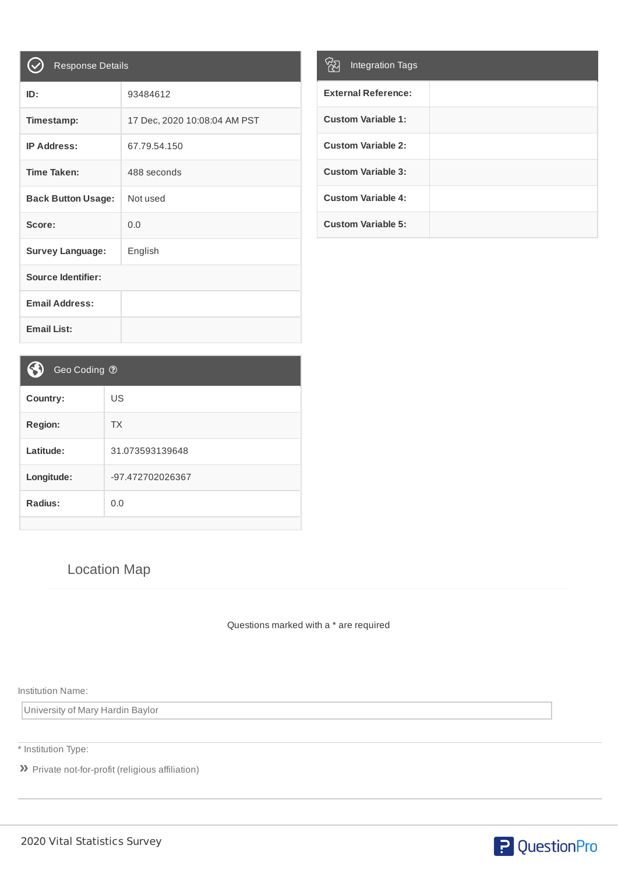| <b>Response Details</b>   |                              |
|---------------------------|------------------------------|
| ID:                       | 93484612                     |
| Timestamp:                | 17 Dec, 2020 10:08:04 AM PST |
| <b>IP Address:</b>        | 67.79.54.150                 |
| <b>Time Taken:</b>        | 488 seconds                  |
| <b>Back Button Usage:</b> | Not used                     |
| Score:                    | 0.0                          |
| <b>Survey Language:</b>   | English                      |
| <b>Source Identifier:</b> |                              |
| <b>Email Address:</b>     |                              |
| <b>Email List:</b>        |                              |

| <b>Integration Tags</b>    |  |
|----------------------------|--|
| <b>External Reference:</b> |  |
| <b>Custom Variable 1:</b>  |  |
| <b>Custom Variable 2:</b>  |  |
| <b>Custom Variable 3:</b>  |  |
| <b>Custom Variable 4:</b>  |  |
| <b>Custom Variable 5:</b>  |  |

| Geo Coding ?     |
|------------------|
| US               |
| <b>TX</b>        |
| 31.073593139648  |
| -97.472702026367 |
| 0.0              |
|                  |

## Location Map

Questions marked with a \* are required

Institution Name:

University of Mary Hardin Baylor

\* Institution Type:

**»** Private not-for-profit (religious affiliation)

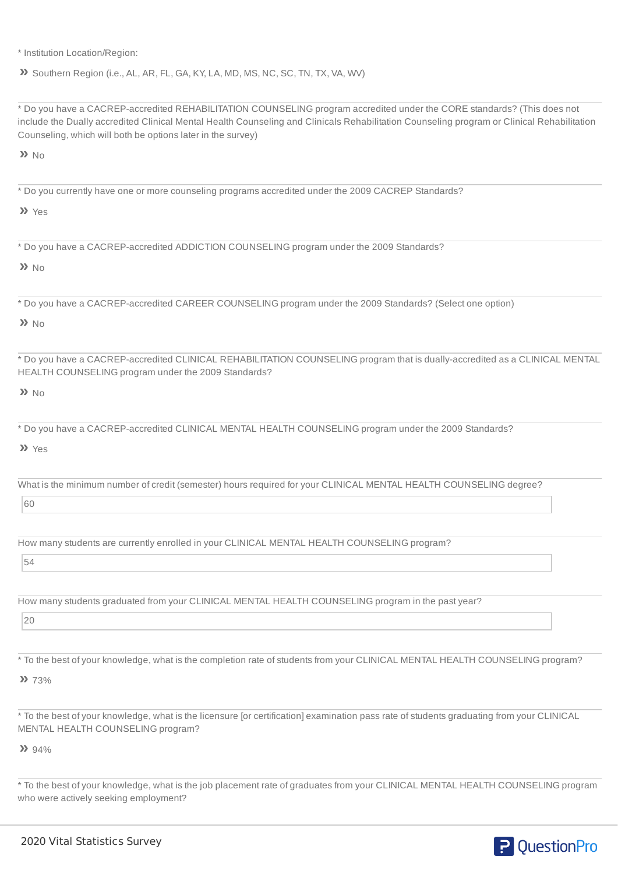\* Institution Location/Region:

**»** Southern Region (i.e., AL, AR, FL, GA, KY, LA, MD, MS, NC, SC, TN, TX, VA, WV)

\* Do you have a CACREP-accredited REHABILITATION COUNSELING program accredited under the CORE standards? (This does not include the Dually accredited Clinical Mental Health Counseling and Clinicals Rehabilitation Counseling program or Clinical Rehabilitation Counseling, which will both be options later in the survey)

**»** No

\* Do you currently have one or more counseling programs accredited under the 2009 CACREP Standards?

**»** Yes

\* Do you have a CACREP-accredited ADDICTION COUNSELING program under the 2009 Standards?

**»** No

\* Do you have a CACREP-accredited CAREER COUNSELING program under the 2009 Standards? (Select one option)

**»** No

\* Do you have a CACREP-accredited CLINICAL REHABILITATION COUNSELING program that is dually-accredited as a CLINICAL MENTAL HEALTH COUNSELING program under the 2009 Standards?

**»** No

\* Do you have a CACREP-accredited CLINICAL MENTAL HEALTH COUNSELING program under the 2009 Standards?

**»** Yes

What is the minimum number of credit (semester) hours required for your CLINICAL MENTAL HEALTH COUNSELING degree?

60

How many students are currently enrolled in your CLINICAL MENTAL HEALTH COUNSELING program?

54

How many students graduated from your CLINICAL MENTAL HEALTH COUNSELING program in the past year?

20

\* To the best of your knowledge, what is the completion rate of students from your CLINICAL MENTAL HEALTH COUNSELING program?

**»** 73%

\* To the best of your knowledge, what is the licensure [or certification] examination pass rate of students graduating from your CLINICAL MENTAL HEALTH COUNSELING program?

**»** 94%

\* To the best of your knowledge, what is the job placement rate of graduates from your CLINICAL MENTAL HEALTH COUNSELING program who were actively seeking employment?

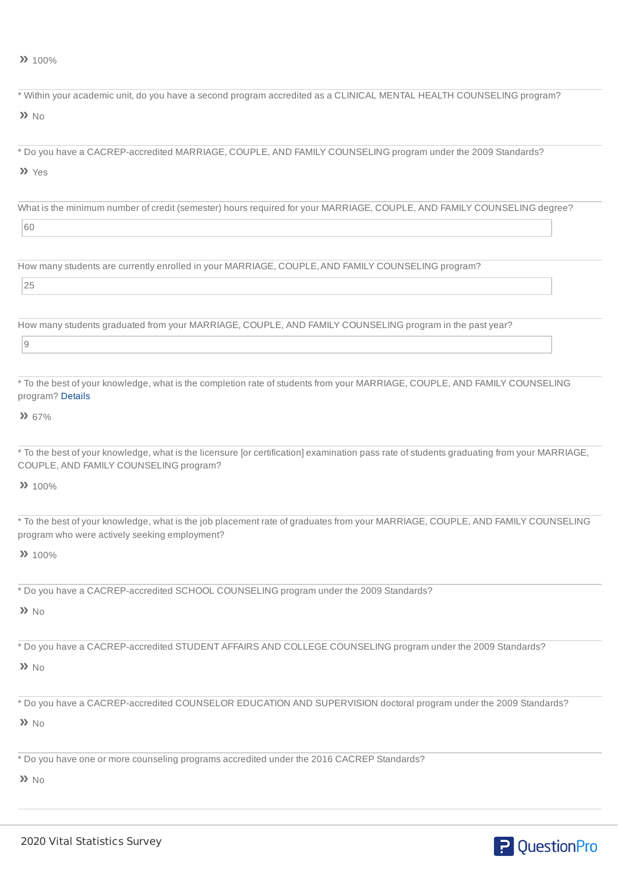**»** 100%

| * Within your academic unit, do you have a second program accredited as a CLINICAL MENTAL HEALTH COUNSELING program?                                                                 |
|--------------------------------------------------------------------------------------------------------------------------------------------------------------------------------------|
| $\lambda$ No                                                                                                                                                                         |
|                                                                                                                                                                                      |
| * Do you have a CACREP-accredited MARRIAGE, COUPLE, AND FAMILY COUNSELING program under the 2009 Standards?                                                                          |
| >> Yes                                                                                                                                                                               |
| What is the minimum number of credit (semester) hours required for your MARRIAGE, COUPLE, AND FAMILY COUNSELING degree?                                                              |
| 60                                                                                                                                                                                   |
|                                                                                                                                                                                      |
| How many students are currently enrolled in your MARRIAGE, COUPLE, AND FAMILY COUNSELING program?                                                                                    |
| 25                                                                                                                                                                                   |
| How many students graduated from your MARRIAGE, COUPLE, AND FAMILY COUNSELING program in the past year?                                                                              |
| $\mathsf 9$                                                                                                                                                                          |
|                                                                                                                                                                                      |
| * To the best of your knowledge, what is the completion rate of students from your MARRIAGE, COUPLE, AND FAMILY COUNSELING<br>program? Details                                       |
| 2267%                                                                                                                                                                                |
| * To the best of your knowledge, what is the licensure [or certification] examination pass rate of students graduating from your MARRIAGE,<br>COUPLE, AND FAMILY COUNSELING program? |
| 22 100%                                                                                                                                                                              |
| * To the best of your knowledge, what is the job placement rate of graduates from your MARRIAGE, COUPLE, AND FAMILY COUNSELING<br>program who were actively seeking employment?      |
| 22 100%                                                                                                                                                                              |
| * Do you have a CACREP-accredited SCHOOL COUNSELING program under the 2009 Standards?                                                                                                |
| $\lambda$ No                                                                                                                                                                         |
| * Do you have a CACREP-accredited STUDENT AFFAIRS AND COLLEGE COUNSELING program under the 2009 Standards?                                                                           |
| $\lambda$ No                                                                                                                                                                         |
| * Do you have a CACREP-accredited COUNSELOR EDUCATION AND SUPERVISION doctoral program under the 2009 Standards?                                                                     |
| $\lambda$ No                                                                                                                                                                         |
| * Do you have one or more counseling programs accredited under the 2016 CACREP Standards?                                                                                            |
| $\lambda$ No                                                                                                                                                                         |
|                                                                                                                                                                                      |

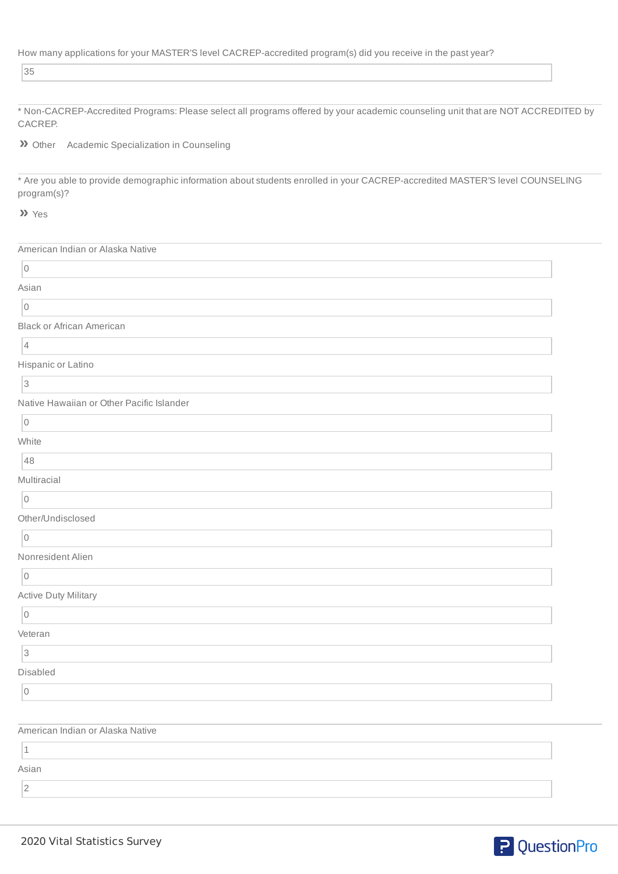| How many applications for your MASTER'S level CACREP-accredited program(s) did you receive in the past year? |  |
|--------------------------------------------------------------------------------------------------------------|--|
|                                                                                                              |  |

35

\* Non-CACREP-Accredited Programs: Please select all programs offered by your academic counseling unit that are NOT ACCREDITED by CACREP.

**»** Other Academic Specialization in Counseling

\* Are you able to provide demographic information about students enrolled in your CACREP-accredited MASTER'S level COUNSELING program(s)?

**»** Yes

| American Indian or Alaska Native          |  |
|-------------------------------------------|--|
| $\vert$ 0                                 |  |
| Asian                                     |  |
| $\overline{0}$                            |  |
| <b>Black or African American</b>          |  |
| 4                                         |  |
| Hispanic or Latino                        |  |
| <sub>3</sub>                              |  |
| Native Hawaiian or Other Pacific Islander |  |
| $\vert$ 0                                 |  |
| White                                     |  |
| 48                                        |  |
| Multiracial                               |  |
| $\vert$ 0                                 |  |
| Other/Undisclosed                         |  |
| $\overline{0}$                            |  |
| Nonresident Alien                         |  |
| $\vert$ 0                                 |  |
| <b>Active Duty Military</b>               |  |
| $\vert$ 0                                 |  |
| Veteran                                   |  |
| 3                                         |  |
| Disabled                                  |  |
| $\vert$ 0                                 |  |
|                                           |  |
| American Indian or Alaska Native          |  |
| $\vert$ 1                                 |  |

2

Asian

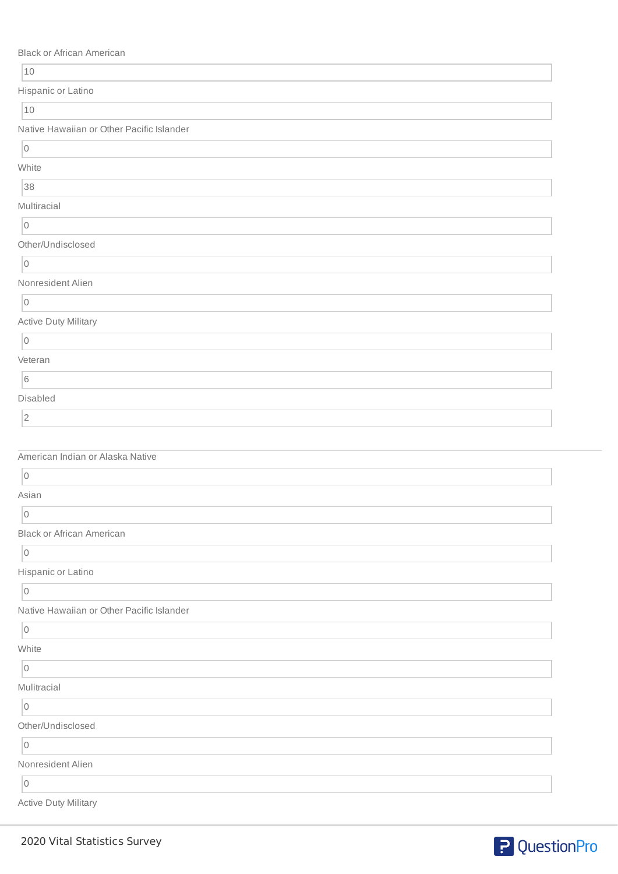Black or African American

| $10$                                      |  |
|-------------------------------------------|--|
| Hispanic or Latino                        |  |
| 10                                        |  |
| Native Hawaiian or Other Pacific Islander |  |
| $\overline{0}$                            |  |
| White                                     |  |
| 38                                        |  |
| Multiracial                               |  |
| $\vert 0 \vert$                           |  |
| Other/Undisclosed                         |  |
| $\vert 0 \vert$                           |  |
| Nonresident Alien                         |  |
| $\vert$ 0                                 |  |
| <b>Active Duty Military</b>               |  |
| 0                                         |  |
| Veteran                                   |  |
| $\boxed{6}$                               |  |
| Disabled                                  |  |
| $\vert$ 2                                 |  |
|                                           |  |
| American Indian or Alaska Native          |  |
| $\vert$ 0                                 |  |
| Asian                                     |  |
| $\overline{0}$                            |  |
| <b>Black or African American</b>          |  |
| $\overline{0}$                            |  |
| Hispanic or Latino                        |  |
| $\overline{0}$                            |  |
| Native Hawaiian or Other Pacific Islander |  |
| $\vert 0 \vert$                           |  |
| White                                     |  |
| $\vert 0 \vert$                           |  |
| Mulitracial                               |  |
| $\vert 0 \vert$                           |  |
| Other/Undisclosed                         |  |
| $\vert$ 0                                 |  |
| Nonresident Alien                         |  |
|                                           |  |
| $\overline{0}$                            |  |

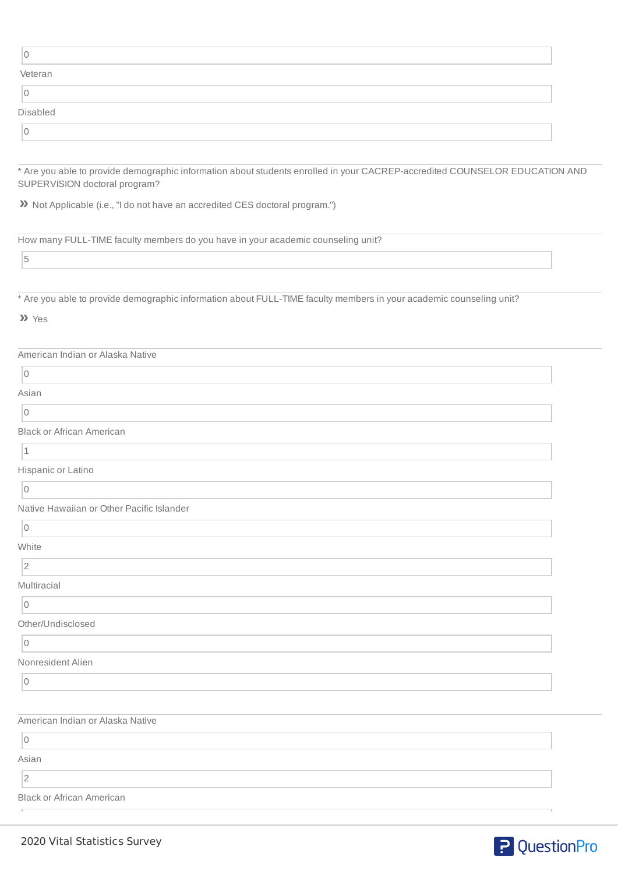| L        |  |
|----------|--|
| Veteran  |  |
| 0        |  |
| Disabled |  |
| 0        |  |

\* Are you able to provide demographic information about students enrolled in your CACREP-accredited COUNSELOR EDUCATION AND SUPERVISION doctoral program?

**»** Not Applicable (i.e., "I do not have an accredited CES doctoral program.")

How many FULL-TIME faculty members do you have in your academic counseling unit?

5

\* Are you able to provide demographic information about FULL-TIME faculty members in your academic counseling unit?

## **»** Yes

| American Indian or Alaska Native          |  |
|-------------------------------------------|--|
| $\overline{0}$                            |  |
| Asian                                     |  |
| $\mathsf{O}$                              |  |
| <b>Black or African American</b>          |  |
| $\vert$ 1                                 |  |
| Hispanic or Latino                        |  |
| $\vert$ 0                                 |  |
| Native Hawaiian or Other Pacific Islander |  |
| $\vert 0 \vert$                           |  |
| White                                     |  |
| 2                                         |  |
| Multiracial                               |  |
| $\vert$ 0                                 |  |
| Other/Undisclosed                         |  |
| $\mathsf{O}$                              |  |
| Nonresident Alien                         |  |
| $\mathsf{O}$                              |  |
|                                           |  |
| American Indian or Alaska Native          |  |
| $\overline{0}$                            |  |
| Asian                                     |  |
| $\sqrt{2}$                                |  |
| <b>Black or African American</b>          |  |
|                                           |  |

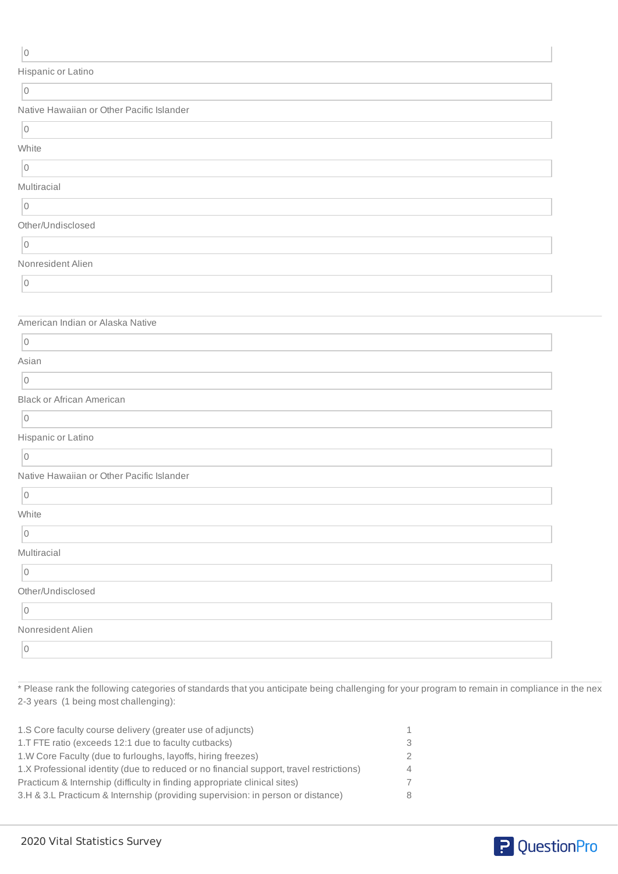| Hispanic or Latino                        |  |
|-------------------------------------------|--|
| $\boxed{0}$                               |  |
| Native Hawaiian or Other Pacific Islander |  |
| $\vert 0 \vert$                           |  |
| White                                     |  |
| $\vert$ 0                                 |  |
| Multiracial                               |  |
| $\overline{0}$                            |  |
| Other/Undisclosed                         |  |
| $\vert$ 0                                 |  |
| Nonresident Alien                         |  |
| $\vert$ 0                                 |  |
|                                           |  |
| American Indian or Alaska Native          |  |
| $\vert 0 \vert$                           |  |
| Asian                                     |  |
| $\overline{0}$                            |  |
| <b>Black or African American</b>          |  |
| $\vert$ 0                                 |  |
| Hispanic or Latino                        |  |
| $\overline{0}$                            |  |
| Native Hawaiian or Other Pacific Islander |  |
| $\vert 0 \vert$                           |  |
| White                                     |  |
| $\boxed{0}$                               |  |
| Multiracial                               |  |
| $\boxed{0}$                               |  |
| Other/Undisclosed                         |  |
| $\vert$ 0                                 |  |
| Nonresident Alien                         |  |
| $\overline{0}$                            |  |
|                                           |  |

\* Please rank the following categories of standards that you anticipate being challenging for your program to remain in compliance in the nex 2-3 years (1 being most challenging):

| 1.S Core faculty course delivery (greater use of adjuncts)                              | 1              |
|-----------------------------------------------------------------------------------------|----------------|
| 1.T FTE ratio (exceeds 12:1 due to faculty cutbacks)                                    | 3              |
| 1.W Core Faculty (due to furloughs, layoffs, hiring freezes)                            | $\mathcal{P}$  |
| 1.X Professional identity (due to reduced or no financial support, travel restrictions) | $\overline{4}$ |
| Practicum & Internship (difficulty in finding appropriate clinical sites)               | 7              |
| 3.H & 3.L Practicum & Internship (providing supervision: in person or distance)         | 8              |
|                                                                                         |                |